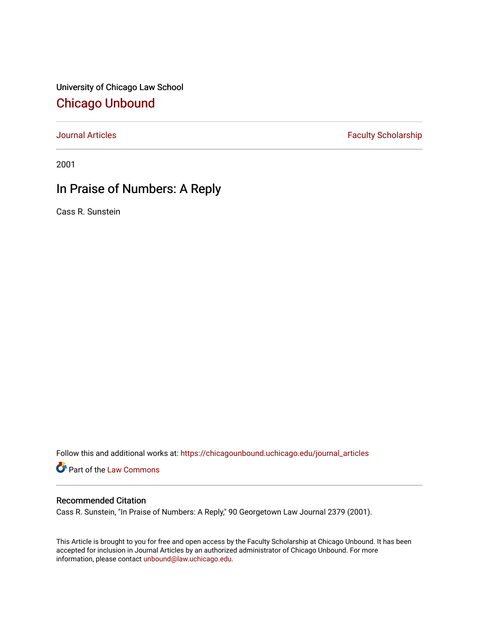University of Chicago Law School [Chicago Unbound](https://chicagounbound.uchicago.edu/)

[Journal Articles](https://chicagounbound.uchicago.edu/journal_articles) **Faculty Scholarship Faculty Scholarship** 

2001

# In Praise of Numbers: A Reply

Cass R. Sunstein

Follow this and additional works at: [https://chicagounbound.uchicago.edu/journal\\_articles](https://chicagounbound.uchicago.edu/journal_articles?utm_source=chicagounbound.uchicago.edu%2Fjournal_articles%2F8405&utm_medium=PDF&utm_campaign=PDFCoverPages) 

Part of the [Law Commons](http://network.bepress.com/hgg/discipline/578?utm_source=chicagounbound.uchicago.edu%2Fjournal_articles%2F8405&utm_medium=PDF&utm_campaign=PDFCoverPages)

### Recommended Citation

Cass R. Sunstein, "In Praise of Numbers: A Reply," 90 Georgetown Law Journal 2379 (2001).

This Article is brought to you for free and open access by the Faculty Scholarship at Chicago Unbound. It has been accepted for inclusion in Journal Articles by an authorized administrator of Chicago Unbound. For more information, please contact [unbound@law.uchicago.edu](mailto:unbound@law.uchicago.edu).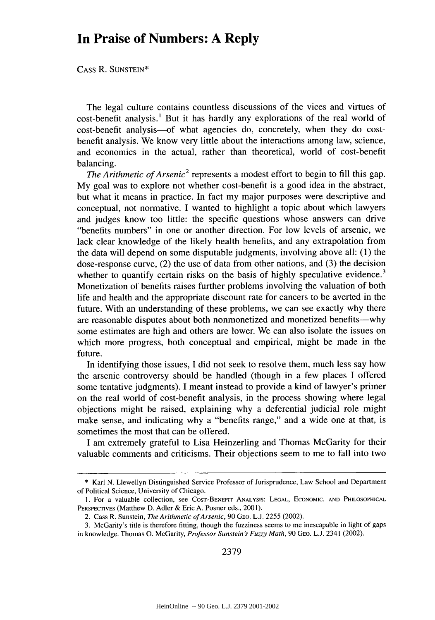## **In Praise of Numbers: A Reply**

CASS R. SUNSTEIN\*

The legal culture contains countless discussions of the vices and virtues of cost-benefit analysis.' But it has hardly any explorations of the real world of cost-benefit analysis-of what agencies do, concretely, when they do costbenefit analysis. We know very little about the interactions among law, science, and economics in the actual, rather than theoretical, world of cost-benefit balancing.

*The Arithmetic of Arsenic*<sup>2</sup> represents a modest effort to begin to fill this gap. My goal was to explore not whether cost-benefit is a good idea in the abstract, but what it means in practice. In fact my major purposes were descriptive and conceptual, not normative. I wanted to highlight a topic about which lawyers and judges know too little: the specific questions whose answers can drive "benefits numbers" in one or another direction. For low levels of arsenic, we lack clear knowledge of the likely health benefits, and any extrapolation from the data will depend on some disputable judgments, involving above all: (1) the dose-response curve, (2) the use of data from other nations, and (3) the decision whether to quantify certain risks on the basis of highly speculative evidence.<sup>3</sup> Monetization of benefits raises further problems involving the valuation of both life and health and the appropriate discount rate for cancers to be averted in the future. With an understanding of these problems, we can see exactly why there are reasonable disputes about both nonmonetized and monetized benefits-why some estimates are high and others are lower. We can also isolate the issues on which more progress, both conceptual and empirical, might be made in the future.

In identifying those issues, I did not seek to resolve them, much less say how the arsenic controversy should be handled (though in a few places I offered some tentative judgments). I meant instead to provide a kind of lawyer's primer on the real world of cost-benefit analysis, in the process showing where legal objections might be raised, explaining why a deferential judicial role might make sense, and indicating why a "benefits range," and a wide one at that, is sometimes the most that can be offered.

I am extremely grateful to Lisa Heinzerling and Thomas McGarity for their valuable comments and criticisms. Their objections seem to me to fall into two

**<sup>\*</sup>** Karl N. Llewellyn Distinguished Service Professor of Jurisprudence, Law School and Department of Political Science, University of Chicago.

**<sup>1.</sup>** For a valuable collection, see COST-BENEFIT **ANALYSIS: LEGAL, ECONOMIC, AND** PHILOSOPHICAL PERSPECTIVES (Matthew D. Adler & Eric A. Posner eds., 2001).

<sup>2.</sup> Cass R. Sunstein, *The Arithmetic ofArsenic,* 90 GEO. L.J. 2255 (2002).

<sup>3.</sup> McGarity's title is therefore fitting, though the fuzziness seems to me inescapable in light of gaps in knowledge. Thomas **0.** McGarity, *Professor Sunstein's Fuzzy Math,* 90 GEO. L.J. 2341 (2002).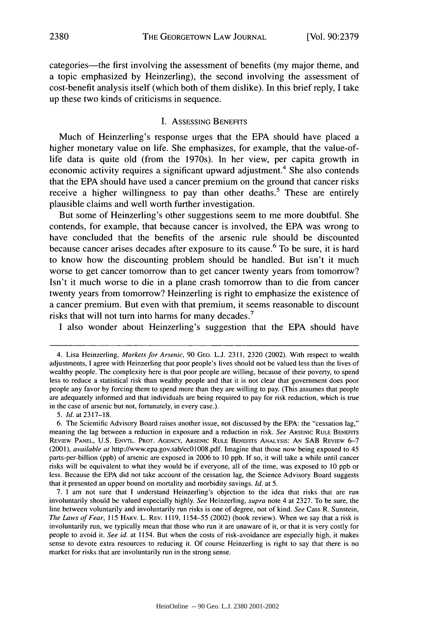categories—the first involving the assessment of benefits (my major theme, and a topic emphasized by Heinzerling), the second involving the assessment of cost-benefit analysis itself (which both of them dislike). In this brief reply, I take up these two kinds of criticisms in sequence.

#### I. ASSESSING BENEFITS

Much of Heinzerling's response urges that the EPA should have placed a higher monetary value on life. She emphasizes, for example, that the value-oflife data is quite old (from the 1970s). In her view, per capita growth in economic activity requires a significant upward adjustment.<sup>4</sup> She also contends that the EPA should have used a cancer premium on the ground that cancer risks receive a higher willingness to pay than other deaths.<sup>5</sup> These are entirely plausible claims and well worth further investigation.

But some of Heinzerling's other suggestions seem to me more doubtful. She contends, for example, that because cancer is involved, the EPA was wrong to have concluded that the benefits of the arsenic rule should be discounted because cancer arises decades after exposure to its cause.<sup>6</sup> To be sure, it is hard to know how the discounting problem should be handled. But isn't it much worse to get cancer tomorrow than to get cancer twenty years from tomorrow? Isn't it much worse to die in a plane crash tomorrow than to die from cancer twenty years from tomorrow? Heinzerling is right to emphasize the existence of a cancer premium. But even with that premium, it seems reasonable to discount risks that will not turn into harms for many decades.<sup>7</sup>

I also wonder about Heinzerling's suggestion that the EPA should have

5. *Id.* at 2317-18.

<sup>4.</sup> Lisa Heinzerling, *Markets for Arsenic,* 90 GEo. L.J. 2311, 2320 (2002). With respect to wealth adjustments, I agree with Heinzerling that poor people's lives should not be valued less than the lives of wealthy people. The complexity here is that poor people are willing, because of their poverty, to spend less to reduce a statistical risk than wealthy people and that it is not clear that government does poor people any favor by forcing them to spend more than they are willing to pay. (This assumes that people are adequately informed and that individuals are being required to pay for risk reduction, which is true in the case of arsenic but not, fortunately, in every case.).

<sup>6.</sup> The Scientific Advisory Board raises another issue, not discussed by the EPA: the "cessation lag," meaning the lag between a reduction in exposure and a reduction in risk. *See* ARSENIC RULE BENEFITS REVIEW **PANEL,** U.S. ENVTL. PROT. **AGENCY,** ARSENIC RULE BENEFITS **ANALYSIS: AN** SAB REVIEW 6-7 (2001), *available at* http://www.epa.gov.sab/ecO1008.pdf. Imagine that those now being exposed to 45 parts-per-billion (ppb) of arsenic are exposed in 2006 to **10** ppb. If so, it will take a while until cancer risks will be equivalent to what they would be if everyone, all of the time, was exposed to **10** ppb or less. Because the EPA did not take account of the cessation lag, the Science Advisory Board suggests that it presented an upper bound on mortality and morbidity savings. *Id.* at 5.

<sup>7.</sup> I am not sure that I understand Heinzerling's objection to the idea that risks that are run involuntarily should be valued especially highly. *See* Heinzerling, *supra* note 4 at 2327. To be sure, the line between voluntarily and involuntarily run risks is one of degree, not of kind. *See* Cass R. Sunstein, *The Laws of Fear,* 115 HARv. L. REV. 1119, 1154-55 (2002) (book review). When we say that a risk is involuntarily run, we typically mean that those who run it are unaware of it, or that it is very costly for people to avoid it. *See id.* at 1154. But when the costs of risk-avoidance are especially high, it makes sense to devote extra resources to reducing it. Of course Heinzerling is right to say that there is no market for risks that are involuntarily run in the strong sense.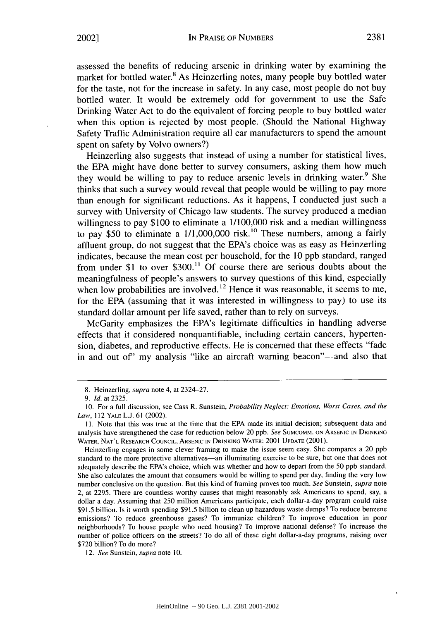assessed the benefits of reducing arsenic in drinking water by examining the market for bottled water.<sup>8</sup> As Heinzerling notes, many people buy bottled water for the taste, not for the increase in safety. In any case, most people do not buy bottled water. It would be extremely odd for government to use the Safe Drinking Water Act to do the equivalent of forcing people to buy bottled water when this option is rejected by most people. (Should the National Highway Safety Traffic Administration require all car manufacturers to spend the amount spent on safety by Volvo owners?)

Heinzerling also suggests that instead of using a number for statistical lives, the EPA might have done better to survey consumers, asking them how much they would be willing to pay to reduce arsenic levels in drinking water.<sup>9</sup> She thinks that such a survey would reveal that people would be willing to pay more than enough for significant reductions. As it happens, I conducted just such a survey with University of Chicago law students. The survey produced a median willingness to pay \$100 to eliminate a  $1/100,000$  risk and a median willingness to pay \$50 to eliminate a  $1/1,000,000$  risk.<sup>10</sup> These numbers, among a fairly affluent group, do not suggest that the EPA's choice was as easy as Heinzerling indicates, because the mean cost per household, for the 10 ppb standard, ranged from under \$1 to over  $$300<sup>11</sup>$  Of course there are serious doubts about the meaningfulness of people's answers to survey questions of this kind, especially when low probabilities are involved.<sup>12</sup> Hence it was reasonable, it seems to me, for the EPA (assuming that it was interested in willingness to pay) to use its standard dollar amount per life saved, rather than to rely on surveys.

McGarity emphasizes the EPA's legitimate difficulties in handling adverse effects that it considered nonquantifiable, including certain cancers, hypertension, diabetes, and reproductive effects. He is concerned that these effects "fade in and out of my analysis "like an aircraft warning beacon"—and also that

<sup>8.</sup> Heinzerling, supra note 4, at 2324-27.

<sup>9.</sup> **Id.** at 2325.

<sup>10.</sup> For a full discussion, see Cass R. Sunstein, *Probability Neglect: Emotions, Worst Cases, and the Law,* 112 YALE L.J. 61 (2002).

**<sup>11.</sup>** Note that this was true at the time that the EPA made its initial decision; subsequent data and analysis have strengthened the case for reduction below 20 ppb. *See* **SUMCOMM. ON** ARSENIC **IN** DRINKING WATER, **NAT'L** RESEARCH **COUNCIL, ARSENIC IN DRINKING** WATER: 2001 **UPDATE** (2001).

Heinzerling engages in some clever framing to make the issue seem easy. She compares a 20 ppb standard to the more protective alternatives-an illuminating exercise to be sure, but one that does not adequately describe the EPA's choice, which was whether and how to depart from the 50 ppb standard. She also calculates the amount that consumers would be willing to spend per day, finding the very low number conclusive on the question. But this kind of framing proves too much. *See* Sunstein, *supra* note 2, at 2295. There are countless worthy causes that might reasonably ask Americans to spend, say, a dollar a day. Assuming that 250 million Americans participate, each dollar-a-day program could raise \$91.5 billion. Is it worth spending \$91.5 billion to clean up hazardous waste dumps? To reduce benzene emissions? To reduce greenhouse gases? To immunize children? To improve education in poor neighborhoods? To house people who need housing? To improve national defense? To increase the number of police officers on the streets? To do all of these eight dollar-a-day programs, raising over \$720 billion? To do more?

<sup>12.</sup> *See* Sunstein, *supra* note 10.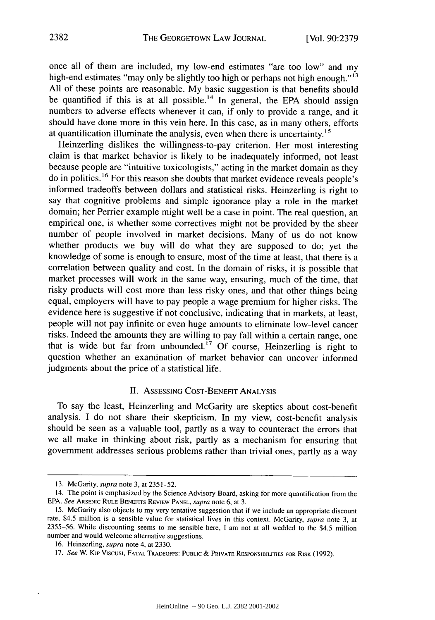once all of them are included, my low-end estimates "are too low" and my high-end estimates "may only be slightly too high or perhaps not high enough."<sup>13</sup> All of these points are reasonable. My basic suggestion is that benefits should be quantified if this is at all possible.<sup>14</sup> In general, the EPA should assign numbers to adverse effects whenever it can, if only to provide a range, and it should have done more in this vein here. In this case, as in many others, efforts at quantification illuminate the analysis, even when there is uncertainty.<sup>15</sup>

Heinzerling dislikes the willingness-to-pay criterion. Her most interesting claim is that market behavior is likely to be inadequately informed, not least because people are "intuitive toxicologists," acting in the market domain as they do in politics. 16 For this reason she doubts that market evidence reveals people's informed tradeoffs between dollars and statistical risks. Heinzerling is right to say that cognitive problems and simple ignorance play a role in the market domain; her Perrier example might well be a case in point. The real question, an empirical one, is whether some correctives might not be provided by the sheer number of people involved in market decisions. Many of us do not know whether products we buy will do what they are supposed to do; yet the knowledge of some is enough to ensure, most of the time at least, that there is a correlation between quality and cost. In the domain of risks, it is possible that market processes will work in the same way, ensuring, much of the time, that risky products will cost more than less risky ones, and that other things being equal, employers will have to pay people a wage premium for higher risks. The evidence here is suggestive if not conclusive, indicating that in markets, at least, people will not pay infinite or even huge amounts to eliminate low-level cancer risks. Indeed the amounts they are willing to pay fall within a certain range, one that is wide but far from unbounded.<sup>17</sup> Of course, Heinzerling is right to question whether an examination of market behavior can uncover informed judgments about the price of a statistical life.

### II. ASSESSING **COST-BENEFIT ANALYSIS**

To say the least, Heinzerling and McGarity are skeptics about cost-benefit analysis. I do not share their skepticism. In my view, cost-benefit analysis should be seen as a valuable tool, partly as a way to counteract the errors that we all make in thinking about risk, partly as a mechanism for ensuring that government addresses serious problems rather than trivial ones, partly as a way

**<sup>13.</sup>** McGarity, supra note 3, at 2351-52.

<sup>14.</sup> The point is emphasized by the Science Advisory Board, asking for more quantification from the EPA. See ARSENIC RULE BENEFITS REVIEW PANEL, supra note 6, at 3.

<sup>15.</sup> McGarity also objects to my very tentative suggestion that if we include an appropriate discount rate, \$4.5 million is a sensible value for statistical lives in this context. McGarity, supra note 3, at 2355-56. While discounting seems to me sensible here, I am not at all wedded to the \$4.5 million number and would welcome alternative suggestions.

<sup>16.</sup> Heinzerling, supra note 4, at 2330.

*<sup>17.</sup>* See W. Kip Viscusi, **FATAL** TRADEOFFS: PUBLIC **&** PRIVATE RESPONSIBILITIES FOR RISK (1992).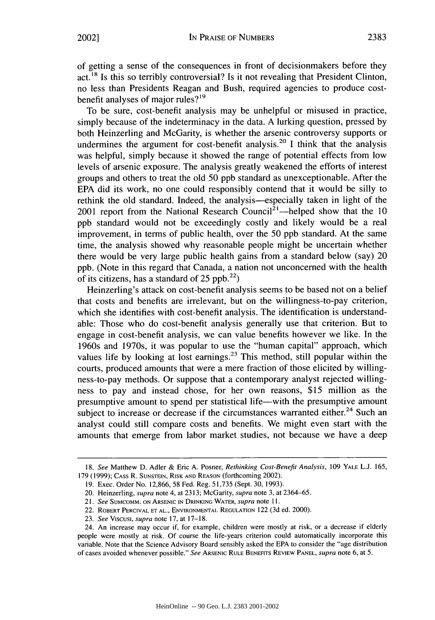of getting a sense of the consequences in front of decisionmakers before they  $act<sup>18</sup>$  Is this so terribly controversial? Is it not revealing that President Clinton, no less than Presidents Reagan and Bush, required agencies to produce costbenefit analyses of major rules?<sup>19</sup>

To be sure, cost-benefit analysis may be unhelpful or misused in practice, simply because of the indeterminacy in the data. A lurking question, pressed by both Heinzerling and McGarity, is whether the arsenic controversy supports or undermines the argument for cost-benefit analysis.<sup>20</sup> I think that the analysis was helpful, simply because it showed the range of potential effects from low levels of arsenic exposure. The analysis greatly weakened the efforts of interest groups and others to treat the old 50 ppb standard as unexceptionable. After the EPA did its work, no one could responsibly contend that it would be silly to rethink the old standard. Indeed, the analysis—especially taken in light of the 2001 report from the National Research Council<sup>21</sup>—helped show that the 10 ppb standard would not be exceedingly costly and likely would be a real improvement, in terms of public health, over the 50 ppb standard. At the same time, the analysis showed why reasonable people might be uncertain whether there would be very large public health gains from a standard below (say) 20 ppb. (Note in this regard that Canada, a nation not unconcerned with the health of its citizens, has a standard of 25  $ppb.<sup>22</sup>$ )

Heinzerling's attack on cost-benefit analysis seems to be based not on a belief that costs and benefits are irrelevant, but on the willingness-to-pay criterion, which she identifies with cost-benefit analysis. The identification is understandable: Those who do cost-benefit analysis generally use that criterion. But to engage in cost-benefit analysis, we can value benefits however we like. In the 1960s and 1970s, it was popular to use the "human capital" approach, which values life by looking at lost earnings.<sup>23</sup> This method, still popular within the courts, produced amounts that were a mere fraction of those elicited by willingness-to-pay methods. Or suppose that a contemporary analyst rejected willingness to pay and instead chose, for her own reasons, \$15 million as the presumptive amount to spend per statistical life—with the presumptive amount subject to increase or decrease if the circumstances warranted either.<sup>24</sup> Such an analyst could still compare costs and benefits. We might even start with the amounts that emerge from labor market studies, not because we have a deep

<sup>18.</sup> *See* Matthew D. Adler **&** Eric A. Posner, *Rethinking Cost-Benefit Analysis,* 109 YALE **L.J. 165,** 179 (1999); CASS R. **SUNSTEIN,** RISK **AND REASON** (forthcoming 2002).

<sup>19.</sup> Exec. Order No. 12,866, 58 Fed. Reg. 51,735 (Sept. 30, 1993).

<sup>20.</sup> Heinzerling, *supra* note 4, at 2313; McGarity, *supra* note 3, at 2364-65.

<sup>21.</sup> *See* SUMCOMM. **ON ARSENIC IN DRINKING** WATER, *supra* note 11.

<sup>22.</sup> ROBERT PERCIVAL **ET AL., ENVIRONMENTAL REGULATION** 122 (3d ed. 2000).

<sup>23.</sup> *See* Viscusi, *supra* note 17, at 17-18.

<sup>24.</sup> An increase may occur if, for example, children were mostly at risk, or a decrease if elderly people were mostly at risk. Of course the life-years criterion could automatically incorporate this variable. Note that the Science Advisory Board sensibly asked the EPA to consider the "age distribution of cases avoided whenever possible." *See* ARSENIC RULE BENEFITS REVIEW **PANEL,** *supra* note **6,** at 5.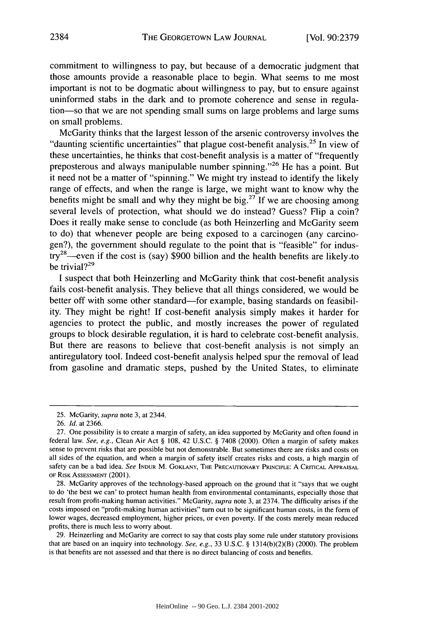commitment to willingness to pay, but because of a democratic judgment that those amounts provide a reasonable place to begin. What seems to me most important is not to be dogmatic about willingness to pay, but to ensure against uninformed stabs in the dark and to promote coherence and sense in regulation-so that we are not spending small sums on large problems and large sums on small problems.

McGarity thinks that the largest lesson of the arsenic controversy involves the "daunting scientific uncertainties" that plague cost-benefit analysis.<sup>25</sup> In view of these uncertainties, he thinks that cost-benefit analysis is a matter of "frequently preposterous and always manipulable number spinning."<sup>26</sup> He has a point. But it need not be a matter of "spinning." We might try instead to identify the likely range of effects, and when the range is large, we might want to know why the benefits might be small and why they might be  $big^{27}$  If we are choosing among several levels of protection, what should we do instead? Guess? Flip a coin? Does it really make sense to conclude (as both Heinzerling and McGarity seem to do) that whenever people are being exposed to a carcinogen (any carcinogen?), the government should regulate to the point that is "feasible" for indus- $\frac{1}{x}$  even if the cost is (say) \$900 billion and the health benefits are likely.to be trivial?<sup>29</sup>

**I** suspect that both Heinzerling and McGarity think that cost-benefit analysis fails cost-benefit analysis. They believe that all things considered, we would be better off with some other standard-for example, basing standards on feasibility. They might be right! **If** cost-benefit analysis simply makes it harder for agencies to protect the public, and mostly increases the power of regulated groups to block desirable regulation, it is hard to celebrate cost-benefit analysis. But there are reasons to believe that cost-benefit analysis is not simply an antiregulatory tool. Indeed cost-benefit analysis helped spur the removal of lead from gasoline and dramatic steps, pushed **by** the United States, to eliminate

**29.** Heinzerling and McGarity are correct to say that costs play some rule under statutory provisions that are based on an inquiry into technology. See, e.g., **33 U.S.C. §** 1314(b)(2)(B) (2000). The problem is that benefits are not assessed and that there is no direct balancing of costs and benefits.

**<sup>25.</sup>** McGarity, *supra* note **3,** at 2344.

**<sup>26.</sup>** *Id.* at **2366.**

**<sup>27.</sup>** One possibility is to create a margin of safety, an idea supported **by** McGarity and often found in federal law. *See, e.g.,* Clean Air Act **§ 108,** 42 **U.S.C. § 7408** (2000). Often a margin of safety makes sense to prevent risks that are possible but not demonstrable. But sometimes there are risks and costs on all sides of the equation, and when a margin of safety itself creates risks and costs, a high margin of safety can be a bad idea. See **INDUR** M. **GOKLANY,** THE PRECAUTIONARY PRINCIPLE: **A** CRITICAL APPRAISAL OF RISK ASSESSMENT (2001).

**<sup>28.</sup>** McGarity approves of the technology-based approach on the ground that it "says that we ought to do 'the best we can' to protect human health from environmental contaminants, especially those that result from profit-making human activities." McGarity, *supra* note **3,** at 2374. The difficulty arises if the costs imposed on "profit-making human activities" turn out to be significant human costs, in the form of lower wages, decreased employment, higher prices, or even poverty. **If** the costs merely mean reduced profits, there is much less to worry about.